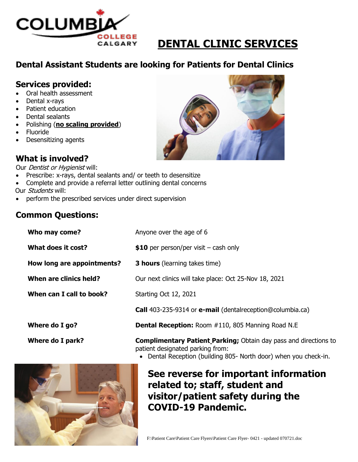

# **DENTAL CLINIC SERVICES**

## **Dental Assistant Students are looking for Patients for Dental Clinics**

#### **Services provided:**

- Oral health assessment
- Dental x-rays
- Patient education
- Dental sealants
- Polishing (**no scaling provided**)
- Fluoride
- Desensitizing agents

### **What is involved?**

Our *Dentist or Hygienist* will:

- Prescribe: x-rays, dental sealants and/ or teeth to desensitize
- Complete and provide a referral letter outlining dental concerns
- Our Students will:
- perform the prescribed services under direct supervision

#### **Common Questions:**

| Who may come?              | Anyone over the age of 6                                                |
|----------------------------|-------------------------------------------------------------------------|
| What does it cost?         | \$10 per person/per visit $-$ cash only                                 |
| How long are appointments? | <b>3 hours</b> (learning takes time)                                    |
| When are clinics held?     | Our next clinics will take place: Oct 25-Nov 18, 2021                   |
| When can I call to book?   | Starting Oct 12, 2021                                                   |
|                            | <b>Call</b> 403-235-9314 or <b>e-mail</b> (dentalreception@columbia.ca) |
| Where do I go?             | <b>Dental Reception:</b> Room #110, 805 Manning Road N.E                |
| Where do I park?           | <b>Complimentary Patient Parking; Obtain day pass and directions to</b> |



Dental Reception (building 805- North door) when you check-in.